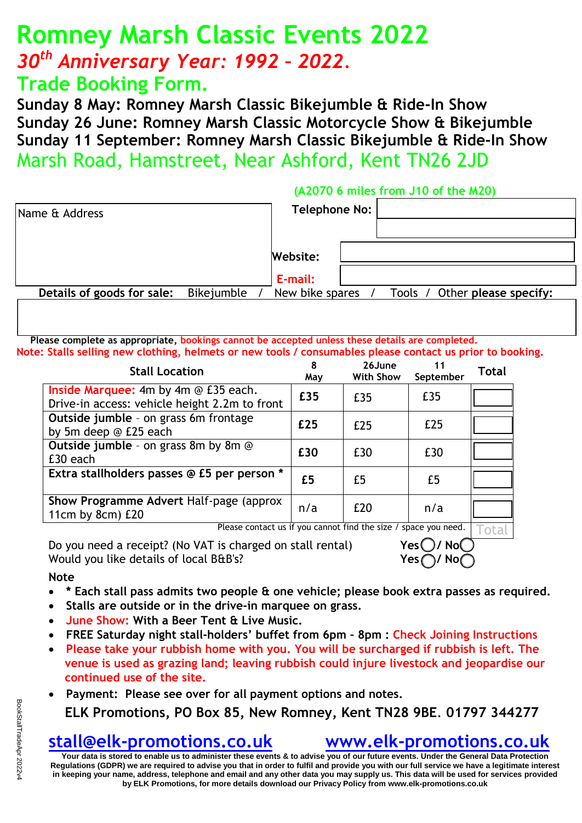# **Romney Marsh Classic Events 2022** *30th Anniversary Year: 1992 – 2022.* **Trade Booking Form.**

**Sunday 8 May: Romney Marsh Classic Bikejumble & Ride-In Show Sunday 26 June: Romney Marsh Classic Motorcycle Show & Bikejumble Sunday 11 September: Romney Marsh Classic Bikejumble & Ride-In Show** Marsh Road, Hamstreet, Near Ashford, Kent TN26 2JD

|                            |            | (A2070 6 miles from J10 of the M20)              |
|----------------------------|------------|--------------------------------------------------|
| Name & Address             |            | Telephone No:                                    |
|                            |            | Website:                                         |
|                            |            | E-mail:                                          |
| Details of goods for sale: | Bikejumble | New bike spares<br>Tools / Other please specify: |
|                            |            |                                                  |

**Please complete as appropriate, bookings cannot be accepted unless these details are completed. Note: Stalls selling new clothing, helmets or new tools / consumables please contact us prior to booking.**

| Name & Address                                                                                                                                                                                                                                                                                                                                                                                                                                                                                                         | Telephone No.              |                                                                 |                              |              |  |  |  |  |  |  |  |
|------------------------------------------------------------------------------------------------------------------------------------------------------------------------------------------------------------------------------------------------------------------------------------------------------------------------------------------------------------------------------------------------------------------------------------------------------------------------------------------------------------------------|----------------------------|-----------------------------------------------------------------|------------------------------|--------------|--|--|--|--|--|--|--|
|                                                                                                                                                                                                                                                                                                                                                                                                                                                                                                                        |                            |                                                                 |                              |              |  |  |  |  |  |  |  |
|                                                                                                                                                                                                                                                                                                                                                                                                                                                                                                                        | Website:                   |                                                                 |                              |              |  |  |  |  |  |  |  |
|                                                                                                                                                                                                                                                                                                                                                                                                                                                                                                                        |                            |                                                                 |                              |              |  |  |  |  |  |  |  |
| Details of goods for sale:<br>Bikejumble                                                                                                                                                                                                                                                                                                                                                                                                                                                                               | E-mail:<br>New bike spares |                                                                 | Tools / Other please s       |              |  |  |  |  |  |  |  |
|                                                                                                                                                                                                                                                                                                                                                                                                                                                                                                                        |                            |                                                                 |                              |              |  |  |  |  |  |  |  |
|                                                                                                                                                                                                                                                                                                                                                                                                                                                                                                                        |                            |                                                                 |                              |              |  |  |  |  |  |  |  |
| Please complete as appropriate, bookings cannot be accepted unless these details are completed.<br>Note: Stalls selling new clothing, helmets or new tools / consumables please contact us prior to bo                                                                                                                                                                                                                                                                                                                 |                            |                                                                 |                              |              |  |  |  |  |  |  |  |
| <b>Stall Location</b>                                                                                                                                                                                                                                                                                                                                                                                                                                                                                                  | 8<br>May                   | 26June<br>With Show                                             | 11<br>September              | <b>Total</b> |  |  |  |  |  |  |  |
| Inside Marquee: 4m by 4m @ £35 each.<br>Drive-in access: vehicle height 2.2m to front                                                                                                                                                                                                                                                                                                                                                                                                                                  | £35                        | £35                                                             | £35                          |              |  |  |  |  |  |  |  |
| Outside jumble - on grass 6m frontage<br>by 5m deep @ £25 each                                                                                                                                                                                                                                                                                                                                                                                                                                                         | £25                        | £25                                                             | E25                          |              |  |  |  |  |  |  |  |
| Outside jumble - on grass 8m by 8m @<br>£30 each                                                                                                                                                                                                                                                                                                                                                                                                                                                                       | £30                        | £30                                                             | £30                          |              |  |  |  |  |  |  |  |
| Extra stallholders passes @ £5 per person *                                                                                                                                                                                                                                                                                                                                                                                                                                                                            | £5                         | £5                                                              | £5                           |              |  |  |  |  |  |  |  |
| Show Programme Advert Half-page (approx<br>11 $cm$ by 8 $cm)$ £20                                                                                                                                                                                                                                                                                                                                                                                                                                                      | n/a                        | £20                                                             | n/a                          |              |  |  |  |  |  |  |  |
|                                                                                                                                                                                                                                                                                                                                                                                                                                                                                                                        |                            | Please contact us if you cannot find the size / space you need. |                              | otal         |  |  |  |  |  |  |  |
| Do you need a receipt? (No VAT is charged on stall rental)                                                                                                                                                                                                                                                                                                                                                                                                                                                             |                            |                                                                 | Yes()/No()                   |              |  |  |  |  |  |  |  |
| Would you like details of local B&B's?                                                                                                                                                                                                                                                                                                                                                                                                                                                                                 |                            |                                                                 | Yes $\bigcap$ / No $\bigcap$ |              |  |  |  |  |  |  |  |
| <b>Note</b><br>* Each stall pass admits two people & one vehicle; please book extra passes as reo<br>Stalls are outside or in the drive-in marquee on grass.<br>$\bullet$<br>June Show: With a Beer Tent & Live Music.<br>FREE Saturday night stall-holders' buffet from 6pm - 8pm : Check Joining Instruct<br>Please take your rubbish home with you. You will be surcharged if rubbish is left.<br>venue is used as grazing land; leaving rubbish could injure livestock and jeopardis<br>continued use of the site. |                            |                                                                 |                              |              |  |  |  |  |  |  |  |
| Payment: Please see over for all payment options and notes.<br>$\bullet$                                                                                                                                                                                                                                                                                                                                                                                                                                               |                            |                                                                 |                              |              |  |  |  |  |  |  |  |
| ELK Promotions, PO Box 85, New Romney, Kent TN28 9BE. 01797 344                                                                                                                                                                                                                                                                                                                                                                                                                                                        |                            |                                                                 |                              |              |  |  |  |  |  |  |  |
| stall@elk-promotions.co.uk                                                                                                                                                                                                                                                                                                                                                                                                                                                                                             |                            | www.elk-promotions.c                                            |                              |              |  |  |  |  |  |  |  |
| Book StallTradeApr 2022v4<br>Your data is stored to enable us to administer these events & to advise you of our future events. Under the General Data F<br>Regulations (GDPR) we are required to advise you that in order to fulfil and provide you with our full service we have a legitir<br>in keeping your name, address, telephone and email and any other data you may supply us. This data will be used for servic                                                                                              |                            |                                                                 |                              |              |  |  |  |  |  |  |  |

### **Note**

- **\* Each stall pass admits two people & one vehicle; please book extra passes as required.**
- **Stalls are outside or in the drive-in marquee on grass.**
- **June Show: With a Beer Tent & Live Music.**
- **FREE Saturday night stall-holders' buffet from 6pm – 8pm : Check Joining Instructions**
- **Please take your rubbish home with you. You will be surcharged if rubbish is left. The venue is used as grazing land; leaving rubbish could injure livestock and jeopardise our continued use of the site.**
- **Payment: Please see over for all payment options and notes. ELK Promotions, PO Box 85, New Romney, Kent TN28 9BE**. **01797 344277**

## **[stall@elk-promotions.co.uk](mailto:stall@elk-promotions.co.uk) [www.elk-promotions.co.uk](http://www.elk-promotions.co.uk/)**

**Your data is stored to enable us to administer these events & to advise you of our future events. Under the General Data Protection Regulations (GDPR) we are required to advise you that in order to fulfil and provide you with our full service we have a legitimate interest in keeping your name, address, telephone and email and any other data you may supply us. This data will be used for services provided by ELK Promotions, for more details download our Privacy Policy from [www.elk-promotions.co.uk](http://www.elk-promotions.co.uk)**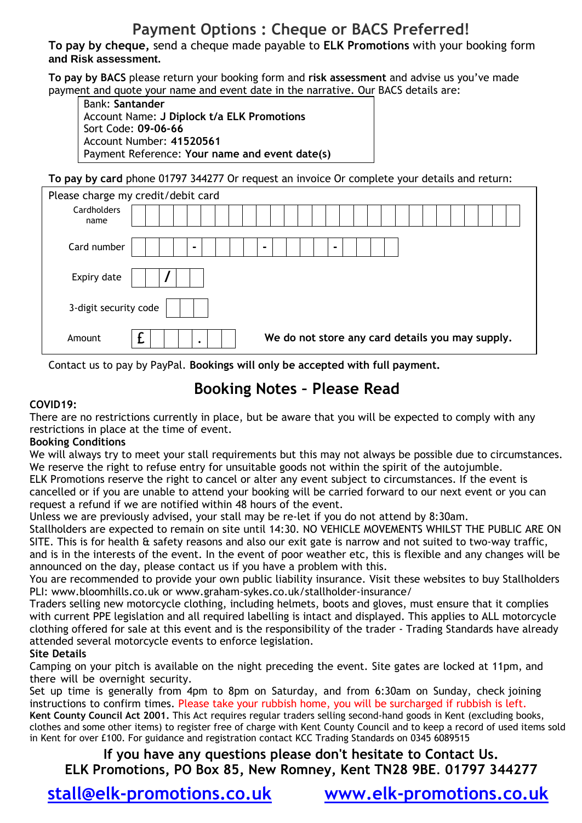## **Payment Options : Cheque or BACS Preferred!**

**To pay by cheque,** send a cheque made payable to **ELK Promotions** with your booking form **and Risk assessment.**

**To pay by BACS** please return your booking form and **risk assessment** and advise us you've made payment and quote your name and event date in the narrative. Our BACS details are:

Bank: **Santander** Account Name: **J Diplock t/a ELK Promotions** Sort Code: **09-06-66** Account Number: **41520561** Payment Reference: **Your name and event date(s)**

**To pay by card** phone 01797 344277 Or request an invoice Or complete your details and return:

| Please charge my credit/debit card |                                                       |  |  |  |  |  |  |  |  |  |
|------------------------------------|-------------------------------------------------------|--|--|--|--|--|--|--|--|--|
| Cardholders<br>name                |                                                       |  |  |  |  |  |  |  |  |  |
|                                    |                                                       |  |  |  |  |  |  |  |  |  |
| Card number                        | $\blacksquare$<br>۰<br>$\blacksquare$                 |  |  |  |  |  |  |  |  |  |
| Expiry date                        |                                                       |  |  |  |  |  |  |  |  |  |
| 3-digit security code              |                                                       |  |  |  |  |  |  |  |  |  |
| Amount                             | We do not store any card details you may supply.<br>٠ |  |  |  |  |  |  |  |  |  |

Contact us to pay by PayPal. **Bookings will only be accepted with full payment.** 

## **Booking Notes – Please Read**

### **COVID19:**

There are no restrictions currently in place, but be aware that you will be expected to comply with any restrictions in place at the time of event.

### **Booking Conditions**

We will always try to meet your stall requirements but this may not always be possible due to circumstances. We reserve the right to refuse entry for unsuitable goods not within the spirit of the autojumble.

ELK Promotions reser[ve the right to cancel or alter any event subject to circumstan](www.mobiletransaction.org/card-machine-small-business-uk)ces. If the event is cancelled or if you are unable to attend your booking will be carried forward to our next event or you can request a refund if we are notified within 48 hours of the event.

Unless we are previously advised, your stall may be re-let if you do not attend by 8:30am.

Stallholders are expected to remain on site until 14:30. NO VEHICLE MOVEMENTS WHILST THE PUBLIC ARE ON SITE. This is for health & safety reasons and also our exit gate is narrow and not suited to two-way traffic, and is in the interests of the event. In the event of poor weather etc, this is flexible and any changes will be announced on the day, please contact us if you have a problem with this.

You are recommended to provide your own public liability insurance. Visit these websites to buy Stallholders PLI: [www.bloomhills.co.uk or](http://www.bloomhills.co.uk) www.graham-sykes.co.uk/stallholder-insurance/

Traders selling new motorcycle clothing, incl[uding helmets, boots and gloves, must ensure that](http://www.graham-sykes.co.uk/stallholder-insurance/) it complies with current PPE legislation and all required labelling is intact and displayed. This applies to ALL motorcycle clothing offered for sale at this event and is the responsibility of the trader - Trading Standards have already attended several motorcycle events to enforce legislation.

### **Site Details**

Camping on your pitch is available on the night preceding the event. Site gates are locked at 11pm, and there will be overnight security.

Set up time is generally from 4pm to 8pm on Saturday, and from 6:30am on Sunday, check joining instructions to confirm times. Please take your rubbish home, you will be surcharged if rubbish is left. **Kent County Council Act 2001.** This Act requires regular traders selling second-hand goods in Kent (excluding books, clothes and some other items) to register free of charge with Kent County Council and to keep a record of used items sold in Kent for over £100. For guidance and registration contact KCC Trading Standards on 0345 6089515

**If you have any questions please don't hesitate to Contact Us. ELK Promotions, PO Box 85, New Romney, Kent TN28 9BE**. **01797 344277**

**[stall@elk-promotions.co.uk](mailto:stall@elk-promotions.co.uk) [www.elk-promotions.co.uk](http://www.elk-promotions.co.uk/)**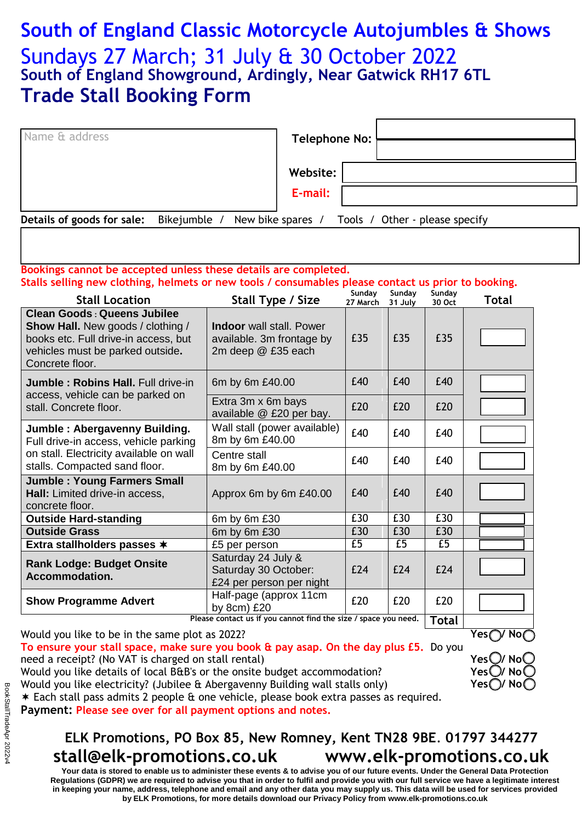# **South of England Classic Motorcycle Autojumbles & Shows** Sundays 27 March; 31 July & 30 October 2022 **South of England Showground, Ardingly, Near Gatwick RH17 6TL Trade Stall Booking Form**

| Name & address             |              | Telephone No: |                                                  |
|----------------------------|--------------|---------------|--------------------------------------------------|
|                            |              | Website:      |                                                  |
|                            |              | E-mail:       |                                                  |
| Details of goods for sale: | Bikejumble / |               | New bike spares / Tools / Other - please specify |

#### **Bookings cannot be accepted unless these details are completed. Stalls selling new clothing, helmets or new tools / consumables please contact us prior to booking.**

| <b>Stall Location</b>                                                                                                                                                         | Stall Type / Size                                                                  | Sunday<br>27 March | Sundav<br>31 July | Sunday<br>30 Oct | <b>Total</b> |
|-------------------------------------------------------------------------------------------------------------------------------------------------------------------------------|------------------------------------------------------------------------------------|--------------------|-------------------|------------------|--------------|
| <b>Clean Goods: Queens Jubilee</b><br><b>Show Hall.</b> New goods / clothing /<br>books etc. Full drive-in access, but<br>vehicles must be parked outside.<br>Concrete floor. | <b>Indoor</b> wall stall. Power<br>available. 3m frontage by<br>2m deep @ £35 each | £35                | £35               | £35              |              |
| Jumble: Robins Hall. Full drive-in                                                                                                                                            | 6m by 6m £40.00                                                                    | £40                | £40               | £40              |              |
| access, vehicle can be parked on<br>stall. Concrete floor.                                                                                                                    | Extra 3m x 6m bays<br>available @ £20 per bay.                                     | £20                | £20               | £20              |              |
| Jumble : Abergavenny Building.<br>Full drive-in access, vehicle parking                                                                                                       | Wall stall (power available)<br>8m by 6m £40.00                                    | £40                | £40               | £40              |              |
| on stall. Electricity available on wall<br>stalls. Compacted sand floor.                                                                                                      | Centre stall<br>8m by 6m £40.00                                                    | £40                | £40               | £40              |              |
| <b>Jumble: Young Farmers Small</b><br>Hall: Limited drive-in access,<br>concrete floor.                                                                                       | Approx 6m by 6m £40.00                                                             | £40                | £40               | £40              |              |
| <b>Outside Hard-standing</b>                                                                                                                                                  | 6m by 6m £30                                                                       | £30                | £30               | £30              |              |
| <b>Outside Grass</b>                                                                                                                                                          | 6m by 6m £30                                                                       | £30                | £30               | £30              |              |
| Extra stallholders passes *                                                                                                                                                   | £5 per person                                                                      | £5                 | £5                | £5               |              |
| <b>Rank Lodge: Budget Onsite</b><br>Accommodation.                                                                                                                            | Saturday 24 July &<br>Saturday 30 October:<br>£24 per person per night             | £24                | £24               | £24              |              |
| <b>Show Programme Advert</b>                                                                                                                                                  | Half-page (approx 11cm<br>by 8cm) £20<br>$\sim$ $\sim$ $\sim$ $\sim$               | £20                | £20               | £20              |              |

**Please contact us if you cannot find the size / space you need.** | **Total** 

Would you like to be in the same plot as 2022?

- **To ensure your stall space, make sure you book & pay asap. On the day plus £5.** Do you need a receipt? (No VAT is charged on stall rental) Would you like details of local B&B's or the onsite budget accommodation?
- Would you like electricity? (Jubilee & Abergavenny Building wall stalls only)

Each stall pass admits 2 people & one vehicle, please book extra passes as required.

**Payment: Please see over for all payment options and notes.**

## **ELK Promotions, PO Box 85, New Romney, Kent TN28 9BE**. **01797 344277 [stall@elk-promotions.co.uk](mailto:stall@elk-promotions.co.uk) [www.elk-promotions.co.uk](http://www.elk-promotions.co.uk)**

**Your data is stored to enable us to administer these events & to advise you of our future events. Under the General Data Protection Regulations (GDPR) we are required to advise you that in order to fulfil and provide you with our full service we have a legitimate interest in keeping your name, address, telephone and email and any other data you may supply us. This data will be used for services provided by ELK Promotions, for more details download our Privacy Policy from [www.elk-promotions.co.uk](http://www.elk-promotions.co.uk)** 

**Yes (** 

**Yes**  $\bigcup$  **No Yes / No Yes**◯/ No(